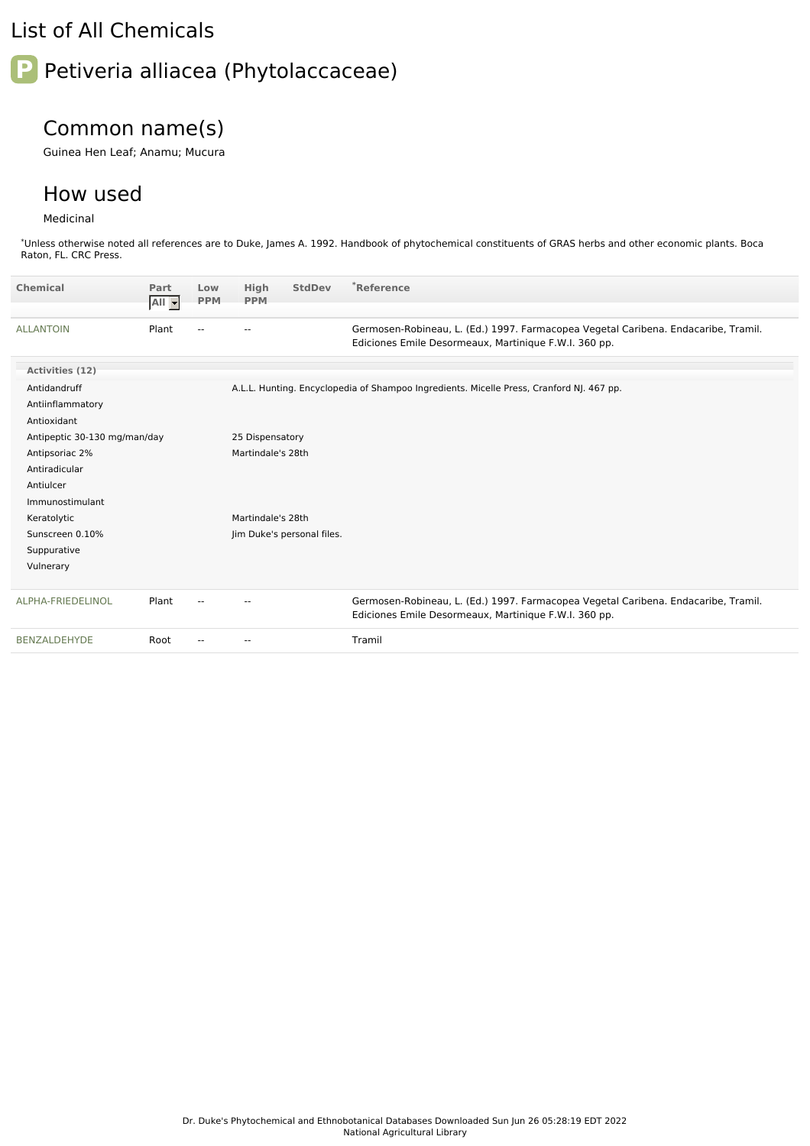### List of All Chemicals

# **P** Petiveria alliacea (Phytolaccaceae)

## Common name(s)

Guinea Hen Leaf; Anamu; Mucura

#### How used

#### Medicinal

\*Unless otherwise noted all references are to Duke, James A. 1992. Handbook of phytochemical constituents of GRAS herbs and other economic plants. Boca Raton, FL. CRC Press.

| <b>Chemical</b>                                 | Part<br>All - | Low<br><b>PPM</b> | <b>High</b><br><b>PPM</b>  | <b>StdDev</b> | *Reference                                                                                                                                  |
|-------------------------------------------------|---------------|-------------------|----------------------------|---------------|---------------------------------------------------------------------------------------------------------------------------------------------|
| <b>ALLANTOIN</b>                                | Plant         | $\sim$ $\sim$     |                            |               | Germosen-Robineau, L. (Ed.) 1997. Farmacopea Vegetal Caribena. Endacaribe, Tramil.<br>Ediciones Emile Desormeaux, Martinique F.W.I. 360 pp. |
| Activities (12)                                 |               |                   |                            |               |                                                                                                                                             |
| Antidandruff<br>Antiinflammatory<br>Antioxidant |               |                   |                            |               | A.L.L. Hunting. Encyclopedia of Shampoo Ingredients. Micelle Press, Cranford NJ. 467 pp.                                                    |
| Antipeptic 30-130 mg/man/day                    |               |                   | 25 Dispensatory            |               |                                                                                                                                             |
| Antipsoriac 2%                                  |               |                   | Martindale's 28th          |               |                                                                                                                                             |
| Antiradicular                                   |               |                   |                            |               |                                                                                                                                             |
| Antiulcer                                       |               |                   |                            |               |                                                                                                                                             |
| Immunostimulant                                 |               |                   |                            |               |                                                                                                                                             |
| Keratolytic                                     |               |                   | Martindale's 28th          |               |                                                                                                                                             |
| Sunscreen 0.10%                                 |               |                   | Jim Duke's personal files. |               |                                                                                                                                             |
| Suppurative                                     |               |                   |                            |               |                                                                                                                                             |
| Vulnerary                                       |               |                   |                            |               |                                                                                                                                             |
| ALPHA-FRIEDELINOL                               | Plant         | $\sim$ $\sim$     | $\sim$ $\sim$              |               | Germosen-Robineau, L. (Ed.) 1997. Farmacopea Vegetal Caribena. Endacaribe, Tramil.<br>Ediciones Emile Desormeaux, Martinique F.W.I. 360 pp. |
| BENZALDEHYDE                                    | Root          | $\sim$ $\sim$     | --                         |               | Tramil                                                                                                                                      |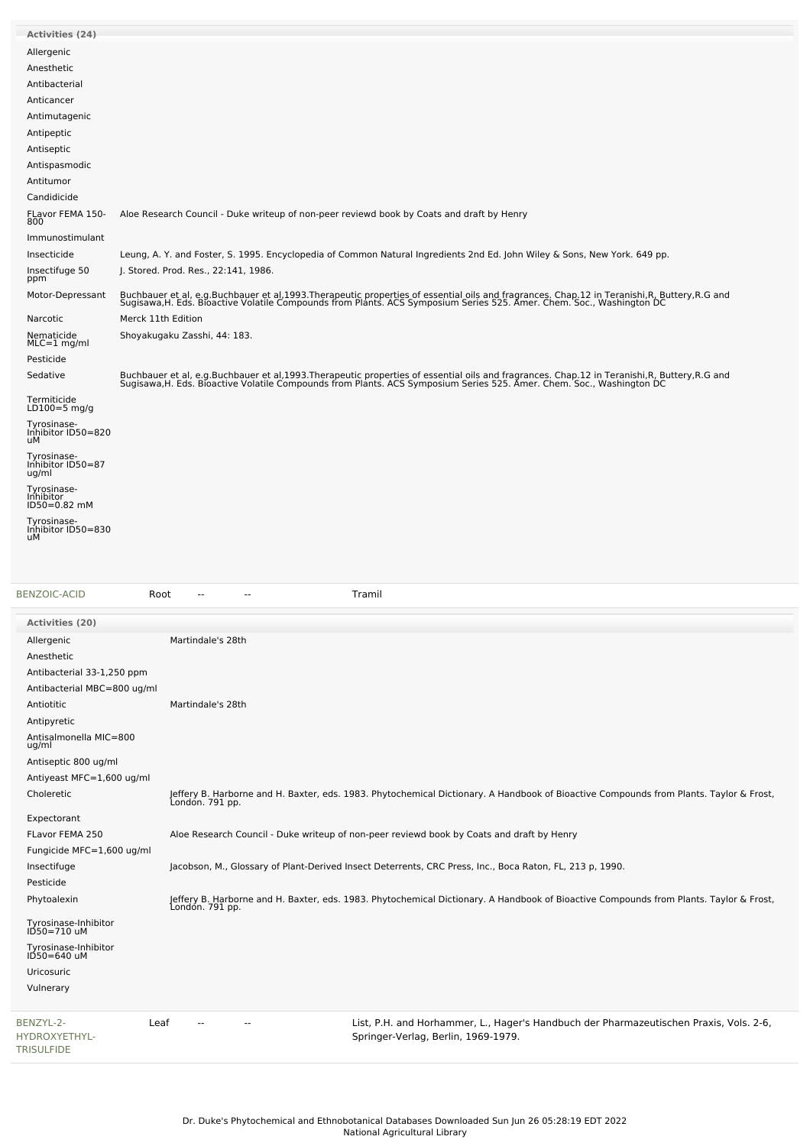| <b>Activities (24)</b>                          |                                                                                                                                                                                                                                   |
|-------------------------------------------------|-----------------------------------------------------------------------------------------------------------------------------------------------------------------------------------------------------------------------------------|
| Allergenic                                      |                                                                                                                                                                                                                                   |
| Anesthetic                                      |                                                                                                                                                                                                                                   |
| Antibacterial                                   |                                                                                                                                                                                                                                   |
| Anticancer                                      |                                                                                                                                                                                                                                   |
| Antimutagenic                                   |                                                                                                                                                                                                                                   |
| Antipeptic                                      |                                                                                                                                                                                                                                   |
| Antiseptic                                      |                                                                                                                                                                                                                                   |
| Antispasmodic                                   |                                                                                                                                                                                                                                   |
| Antitumor                                       |                                                                                                                                                                                                                                   |
| Candidicide                                     |                                                                                                                                                                                                                                   |
| FLavor FEMA 150-<br>800                         | Aloe Research Council - Duke writeup of non-peer reviewd book by Coats and draft by Henry                                                                                                                                         |
| Immunostimulant                                 |                                                                                                                                                                                                                                   |
| Insecticide                                     | Leung, A. Y. and Foster, S. 1995. Encyclopedia of Common Natural Ingredients 2nd Ed. John Wiley & Sons, New York. 649 pp.                                                                                                         |
| Insectifuge 50<br>ppm                           | J. Stored. Prod. Res., 22:141, 1986.                                                                                                                                                                                              |
| Motor-Depressant                                | Buchbauer et al, e.g.Buchbauer et al,1993.Therapeutic properties of essential oils and fragrances. Chap.12 in Teranishi,R, Buttery,R.G and<br>Sugisawa,H. Eds. Bioactive Volatile Compounds from Plants. ACS Symposium Series 525 |
| Narcotic                                        | Merck 11th Edition                                                                                                                                                                                                                |
| Nematicide<br>$MLC = 1$ mg/ml                   | Shoyakugaku Zasshi, 44: 183.                                                                                                                                                                                                      |
| Pesticide                                       |                                                                                                                                                                                                                                   |
| Sedative                                        | Buchbauer et al, e.g.Buchbauer et al,1993.Therapeutic properties of essential oils and fragrances. Chap.12 in Teranishi,R, Buttery,R.G and<br>Sugisawa,H. Eds. Bioactive Volatile Compounds from Plants. ACS Symposium Series 525 |
| Termiticide<br>LD $100=5$ mg/g                  |                                                                                                                                                                                                                                   |
| Tyrosinase-<br>Inhibitor ID50=820<br>uМ         |                                                                                                                                                                                                                                   |
| Tyrosinase-<br>Inhibitor ID50=87<br>ug/ml       |                                                                                                                                                                                                                                   |
| Tyrosinase-<br><b>Inhibitor</b><br>ID50=0.82 mM |                                                                                                                                                                                                                                   |
| Tyrosinase-<br>Inhibitor ID50=830<br>uМ         |                                                                                                                                                                                                                                   |

| <b>BENZOIC-ACID</b>                             | Tramil<br>Root                                                                                                                                            |
|-------------------------------------------------|-----------------------------------------------------------------------------------------------------------------------------------------------------------|
| <b>Activities (20)</b>                          |                                                                                                                                                           |
| Allergenic                                      | Martindale's 28th                                                                                                                                         |
| Anesthetic                                      |                                                                                                                                                           |
| Antibacterial 33-1,250 ppm                      |                                                                                                                                                           |
| Antibacterial MBC=800 ug/ml                     |                                                                                                                                                           |
| Antiotitic                                      | Martindale's 28th                                                                                                                                         |
| Antipyretic                                     |                                                                                                                                                           |
| Antisalmonella MIC=800<br>ug/ml                 |                                                                                                                                                           |
| Antiseptic 800 ug/ml                            |                                                                                                                                                           |
| Antiyeast MFC=1,600 ug/ml                       |                                                                                                                                                           |
| Choleretic                                      | Jeffery B. Harborne and H. Baxter, eds. 1983. Phytochemical Dictionary. A Handbook of Bioactive Compounds from Plants. Taylor & Frost,<br>London. 791 pp. |
| Expectorant                                     |                                                                                                                                                           |
| FLavor FEMA 250                                 | Aloe Research Council - Duke writeup of non-peer reviewd book by Coats and draft by Henry                                                                 |
| Fungicide MFC=1,600 ug/ml                       |                                                                                                                                                           |
| Insectifuge                                     | Jacobson, M., Glossary of Plant-Derived Insect Deterrents, CRC Press, Inc., Boca Raton, FL, 213 p, 1990.                                                  |
| Pesticide                                       |                                                                                                                                                           |
| Phytoalexin                                     | Jeffery B. Harborne and H. Baxter, eds. 1983. Phytochemical Dictionary. A Handbook of Bioactive Compounds from Plants. Taylor & Frost,<br>London. 791 pp. |
| Tyrosinase-Inhibitor<br>ID50=710 uM             |                                                                                                                                                           |
| Tyrosinase-Inhibitor<br>ID50=640 uM             |                                                                                                                                                           |
| Uricosuric                                      |                                                                                                                                                           |
| Vulnerary                                       |                                                                                                                                                           |
| BENZYL-2-<br>HYDROXYETHYL-<br><b>TRISULFIDE</b> | Leaf<br>List, P.H. and Horhammer, L., Hager's Handbuch der Pharmazeutischen Praxis, Vols. 2-6,<br>Springer-Verlag, Berlin, 1969-1979.                     |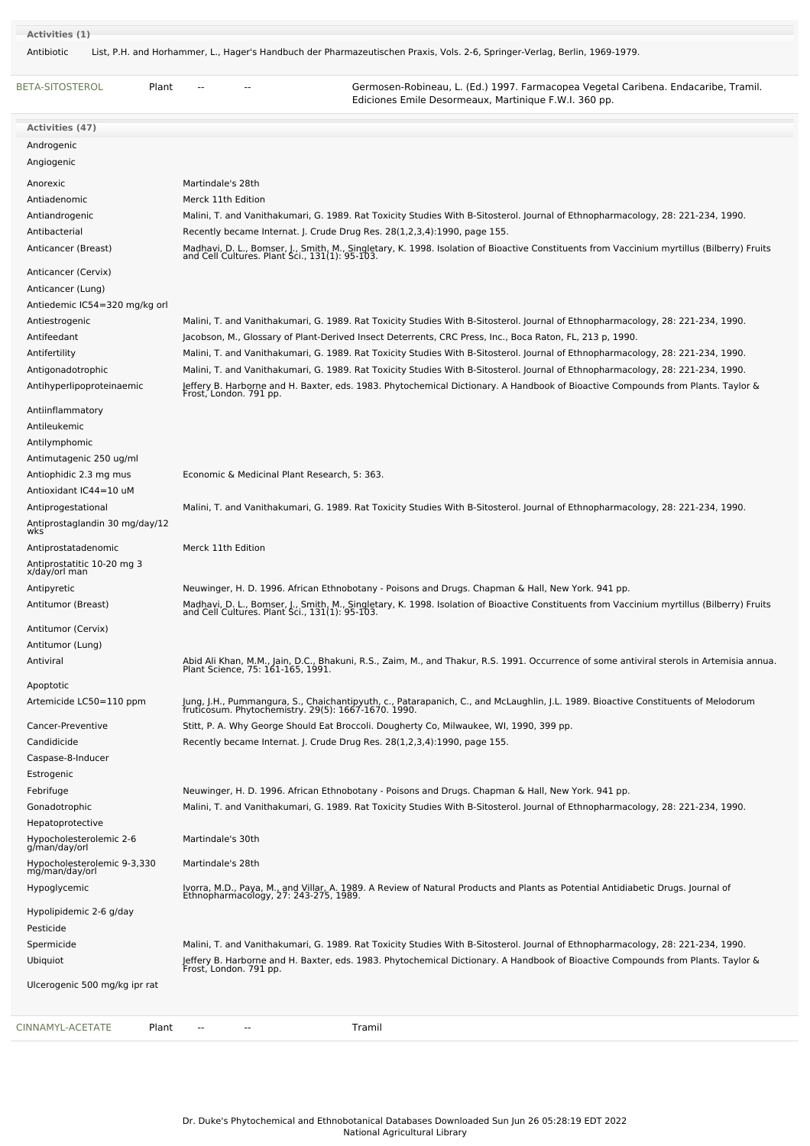| Activities (1)<br>Antibiotic                      | List, P.H. and Horhammer, L., Hager's Handbuch der Pharmazeutischen Praxis, Vols. 2-6, Springer-Verlag, Berlin, 1969-1979.                                                                                                                  |
|---------------------------------------------------|---------------------------------------------------------------------------------------------------------------------------------------------------------------------------------------------------------------------------------------------|
| BETA-SITOSTEROL<br>Plant                          | Germosen-Robineau, L. (Ed.) 1997. Farmacopea Vegetal Caribena. Endacaribe, Tramil.<br>Ediciones Emile Desormeaux, Martinique F.W.I. 360 pp.                                                                                                 |
| Activities (47)                                   |                                                                                                                                                                                                                                             |
| Androgenic                                        |                                                                                                                                                                                                                                             |
| Angiogenic                                        |                                                                                                                                                                                                                                             |
| Anorexic                                          | Martindale's 28th                                                                                                                                                                                                                           |
| Antiadenomic                                      | Merck 11th Edition                                                                                                                                                                                                                          |
| Antiandrogenic                                    | Malini, T. and Vanithakumari, G. 1989. Rat Toxicity Studies With B-Sitosterol. Journal of Ethnopharmacology, 28: 221-234, 1990.                                                                                                             |
| Antibacterial                                     | Recently became Internat. J. Crude Drug Res. 28(1,2,3,4):1990, page 155.                                                                                                                                                                    |
| Anticancer (Breast)                               | Madhavi, D. L., Bomser, J., Smith, M., Singletary, K. 1998. Isolation of Bioactive Constituents from Vaccinium myrtillus (Bilberry) Fruits and Cell Cultures. Plant Sci., 131(1): 95-103.                                                   |
| Anticancer (Cervix)                               |                                                                                                                                                                                                                                             |
| Anticancer (Lung)                                 |                                                                                                                                                                                                                                             |
| Antiedemic IC54=320 mg/kg orl                     |                                                                                                                                                                                                                                             |
| Antiestrogenic<br>Antifeedant                     | Malini, T. and Vanithakumari, G. 1989. Rat Toxicity Studies With B-Sitosterol. Journal of Ethnopharmacology, 28: 221-234, 1990.<br>Jacobson, M., Glossary of Plant-Derived Insect Deterrents, CRC Press, Inc., Boca Raton, FL, 213 p, 1990. |
| Antifertility                                     | Malini, T. and Vanithakumari, G. 1989. Rat Toxicity Studies With B-Sitosterol. Journal of Ethnopharmacology, 28: 221-234, 1990.                                                                                                             |
| Antigonadotrophic                                 | Malini, T. and Vanithakumari, G. 1989. Rat Toxicity Studies With B-Sitosterol. Journal of Ethnopharmacology, 28: 221-234, 1990.                                                                                                             |
| Antihyperlipoproteinaemic                         | Jeffery B. Harborne and H. Baxter, eds. 1983. Phytochemical Dictionary. A Handbook of Bioactive Compounds from Plants. Taylor &<br>Frost, London. 791 pp.                                                                                   |
| Antiinflammatory                                  |                                                                                                                                                                                                                                             |
| Antileukemic                                      |                                                                                                                                                                                                                                             |
| Antilymphomic                                     |                                                                                                                                                                                                                                             |
| Antimutagenic 250 ug/ml<br>Antiophidic 2.3 mg mus | Economic & Medicinal Plant Research, 5: 363.                                                                                                                                                                                                |
| Antioxidant IC44=10 uM                            |                                                                                                                                                                                                                                             |
| Antiprogestational                                | Malini, T. and Vanithakumari, G. 1989. Rat Toxicity Studies With B-Sitosterol. Journal of Ethnopharmacology, 28: 221-234, 1990.                                                                                                             |
| Antiprostaglandin 30 mg/day/12<br>wks             |                                                                                                                                                                                                                                             |
| Antiprostatadenomic                               | Merck 11th Edition                                                                                                                                                                                                                          |
| Antiprostatitic 10-20 mg 3<br>x/day/orl man       |                                                                                                                                                                                                                                             |
| Antipyretic                                       | Neuwinger, H. D. 1996. African Ethnobotany - Poisons and Drugs. Chapman & Hall, New York. 941 pp.                                                                                                                                           |
| Antitumor (Breast)                                | Madhavi, D. L., Bomser, J., Smith, M., Singletary, K. 1998. Isolation of Bioactive Constituents from Vaccinium myrtillus (Bilberry) Fruits and Cell Cultures. Plant Sci., 131(1): 95-103.                                                   |
| Antitumor (Cervix)                                |                                                                                                                                                                                                                                             |
| Antitumor (Lung)<br>Antiviral                     |                                                                                                                                                                                                                                             |
|                                                   | Abid Ali Khan, M.M., Jain, D.C., Bhakuni, R.S., Zaim, M., and Thakur, R.S. 1991. Occurrence of some antiviral sterols in Artemisia annua.<br>Plant Science, 75: 161-165, 1991.                                                              |
| Apoptotic                                         |                                                                                                                                                                                                                                             |
| Artemicide LC50=110 ppm                           | Jung, J.H., Pummangura, S., Chaichantipyuth, c., Patarapanich, C., and McLaughlin, J.L. 1989. Bioactive Constituents of Melodorum<br>fruticosum. Phytochemistry. 29(5): 1667-1670. 1990.                                                    |
| Cancer-Preventive                                 | Stitt, P. A. Why George Should Eat Broccoli. Dougherty Co, Milwaukee, WI, 1990, 399 pp.                                                                                                                                                     |
| Candidicide                                       | Recently became Internat. J. Crude Drug Res. 28(1,2,3,4):1990, page 155.                                                                                                                                                                    |
| Caspase-8-Inducer                                 |                                                                                                                                                                                                                                             |
| Estrogenic                                        |                                                                                                                                                                                                                                             |
| Febrifuge                                         | Neuwinger, H. D. 1996. African Ethnobotany - Poisons and Drugs. Chapman & Hall, New York. 941 pp.                                                                                                                                           |
| Gonadotrophic                                     | Malini, T. and Vanithakumari, G. 1989. Rat Toxicity Studies With B-Sitosterol. Journal of Ethnopharmacology, 28: 221-234, 1990.                                                                                                             |
| Hepatoprotective<br>Hypocholesterolemic 2-6       | Martindale's 30th                                                                                                                                                                                                                           |
| g/man/day/orl                                     |                                                                                                                                                                                                                                             |
| Hypocholesterolemic 9-3,330<br>mg/man/day/orl     | Martindale's 28th                                                                                                                                                                                                                           |
| Hypoglycemic                                      | Ivorra, M.D., Paya, M., and Villar, A. 1989. A Review of Natural Products and Plants as Potential Antidiabetic Drugs. Journal of<br>Ethnopharmacology, 27: 243-275, 1989.                                                                   |
| Hypolipidemic 2-6 g/day                           |                                                                                                                                                                                                                                             |
| Pesticide                                         |                                                                                                                                                                                                                                             |
| Spermicide                                        | Malini, T. and Vanithakumari, G. 1989. Rat Toxicity Studies With B-Sitosterol. Journal of Ethnopharmacology, 28: 221-234, 1990.                                                                                                             |
| Ubiquiot                                          | Jeffery B. Harborne and H. Baxter, eds. 1983. Phytochemical Dictionary. A Handbook of Bioactive Compounds from Plants. Taylor &<br>Frost, London. 791 pp.                                                                                   |
| Ulcerogenic 500 mg/kg ipr rat                     |                                                                                                                                                                                                                                             |
| CINNAMYL-ACETATE<br>Plant                         | Tramil<br>$\sim$ $\sim$<br>$\sim$                                                                                                                                                                                                           |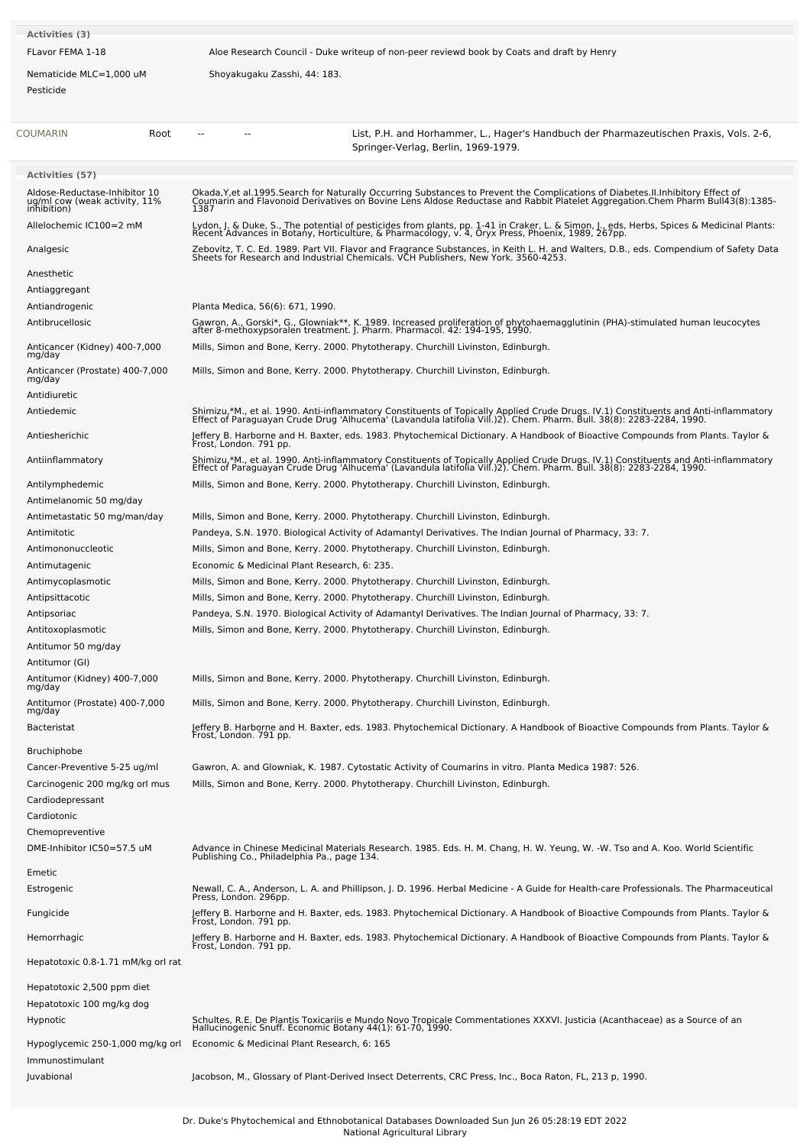| Activities (3)                                                                |                                                                                                                                                                                                                                           |
|-------------------------------------------------------------------------------|-------------------------------------------------------------------------------------------------------------------------------------------------------------------------------------------------------------------------------------------|
| FLavor FEMA 1-18                                                              | Aloe Research Council - Duke writeup of non-peer reviewd book by Coats and draft by Henry                                                                                                                                                 |
|                                                                               |                                                                                                                                                                                                                                           |
| Nematicide MLC=1,000 uM                                                       | Shoyakugaku Zasshi, 44: 183.                                                                                                                                                                                                              |
| Pesticide                                                                     |                                                                                                                                                                                                                                           |
|                                                                               |                                                                                                                                                                                                                                           |
| <b>COUMARIN</b><br>Root                                                       | List, P.H. and Horhammer, L., Hager's Handbuch der Pharmazeutischen Praxis, Vols. 2-6,                                                                                                                                                    |
|                                                                               | Springer-Verlag, Berlin, 1969-1979.                                                                                                                                                                                                       |
| Activities (57)                                                               |                                                                                                                                                                                                                                           |
| Aldose-Reductase-Inhibitor 10<br>ug/ml cow (weak activity, 11%<br>inhibition) | Okada, Y, et al. 1995. Search for Naturally Occurring Substances to Prevent the Complications of Diabetes. II. Inhibitory Effect of<br>Coumarin and Flavonoid Derivatives on Bovine Lens Aldose Reductase and Rabbit Platelet Agg<br>1387 |
| Allelochemic IC100=2 mM                                                       | Lydon, J. & Duke, S., The potential of pesticides from plants, pp. 1-41 in Craker, L. & Simon, J., eds, Herbs, Spices & Medicinal Plants:<br>Recent Advances in Botany, Horticulture, & Pharmacology, v. 4, Oryx Press, Phoenix,          |
| Analgesic                                                                     | Zebovitz, T. C. Ed. 1989. Part VII. Flavor and Fragrance Substances, in Keith L. H. and Walters, D.B., eds. Compendium of Safety Data<br>Sheets for Research and Industrial Chemicals. VCH Publishers, New York. 3560-4253.               |
| Anesthetic                                                                    |                                                                                                                                                                                                                                           |
| Antiaggregant                                                                 |                                                                                                                                                                                                                                           |
| Antiandrogenic                                                                | Planta Medica, 56(6): 671, 1990.                                                                                                                                                                                                          |
| Antibrucellosic                                                               | Gawron, A., Gorski*, G., Glowniak**, K. 1989. Increased proliferation of phytohaemagglutinin (PHA)-stimulated human leucocytes<br>after 8-methoxypsoralen treatment. J. Pharm. Pharmacol. 42: 194-195, 1990.                              |
| Anticancer (Kidney) 400-7,000<br>mg/day                                       | Mills, Simon and Bone, Kerry. 2000. Phytotherapy. Churchill Livinston, Edinburgh.                                                                                                                                                         |
| Anticancer (Prostate) 400-7,000<br>mg/day                                     | Mills, Simon and Bone, Kerry. 2000. Phytotherapy. Churchill Livinston, Edinburgh.                                                                                                                                                         |
| Antidiuretic                                                                  |                                                                                                                                                                                                                                           |
| Antiedemic                                                                    | Shimizu,*M., et al. 1990. Anti-inflammatory Constituents of Topically Applied Crude Drugs. IV.1) Constituents and Anti-inflammatory<br>Effect of Paraguayan Crude Drug 'Alhucema' (Lavandula latifolia Vill.)2). Chem. Pharm. Bul         |
| Antiesherichic                                                                | Jeffery B. Harborne and H. Baxter, eds. 1983. Phytochemical Dictionary. A Handbook of Bioactive Compounds from Plants. Taylor &<br>Frost, London. 791 pp.                                                                                 |
| Antiinflammatory                                                              | Shimizu,*M., et al. 1990. Anti-inflammatory Constituents of Topically Applied Crude Drugs. IV.1) Constituents and Anti-inflammatory<br>Effect of Paraguayan Crude Drug 'Alhucema' (Lavandula latifolia Vill.)2). Chem. Pharm. Bul         |
| Antilymphedemic                                                               | Mills, Simon and Bone, Kerry. 2000. Phytotherapy. Churchill Livinston, Edinburgh.                                                                                                                                                         |
| Antimelanomic 50 mg/day                                                       |                                                                                                                                                                                                                                           |
| Antimetastatic 50 mg/man/day                                                  | Mills, Simon and Bone, Kerry. 2000. Phytotherapy. Churchill Livinston, Edinburgh.                                                                                                                                                         |
| Antimitotic                                                                   | Pandeya, S.N. 1970. Biological Activity of Adamantyl Derivatives. The Indian Journal of Pharmacy, 33: 7.                                                                                                                                  |
| Antimononuccleotic                                                            | Mills, Simon and Bone, Kerry. 2000. Phytotherapy. Churchill Livinston, Edinburgh.                                                                                                                                                         |
| Antimutagenic                                                                 | Economic & Medicinal Plant Research, 6: 235.                                                                                                                                                                                              |
| Antimycoplasmotic                                                             | Mills, Simon and Bone, Kerry. 2000. Phytotherapy. Churchill Livinston, Edinburgh.                                                                                                                                                         |
| Antipsittacotic                                                               | Mills, Simon and Bone, Kerry. 2000. Phytotherapy. Churchill Livinston, Edinburgh.                                                                                                                                                         |
| Antipsoriac                                                                   | Pandeya, S.N. 1970. Biological Activity of Adamantyl Derivatives. The Indian Journal of Pharmacy, 33: 7.                                                                                                                                  |
| Antitoxoplasmotic                                                             | Mills, Simon and Bone, Kerry. 2000. Phytotherapy. Churchill Livinston, Edinburgh.                                                                                                                                                         |
| Antitumor 50 mg/day                                                           |                                                                                                                                                                                                                                           |
| Antitumor (GI)                                                                |                                                                                                                                                                                                                                           |
| Antitumor (Kidney) 400-7,000<br>mg/day                                        | Mills, Simon and Bone, Kerry. 2000. Phytotherapy. Churchill Livinston, Edinburgh.                                                                                                                                                         |
| Antitumor (Prostate) 400-7,000<br>mg/day                                      | Mills, Simon and Bone, Kerry. 2000. Phytotherapy. Churchill Livinston, Edinburgh.                                                                                                                                                         |
| <b>Bacteristat</b>                                                            | Jeffery B. Harborne and H. Baxter, eds. 1983. Phytochemical Dictionary. A Handbook of Bioactive Compounds from Plants. Taylor &<br>Frost, London. 791 pp.                                                                                 |
| <b>Bruchiphobe</b>                                                            |                                                                                                                                                                                                                                           |
| Cancer-Preventive 5-25 ug/ml                                                  | Gawron, A. and Glowniak, K. 1987. Cytostatic Activity of Coumarins in vitro. Planta Medica 1987: 526.                                                                                                                                     |
| Carcinogenic 200 mg/kg orl mus                                                | Mills, Simon and Bone, Kerry. 2000. Phytotherapy. Churchill Livinston, Edinburgh.                                                                                                                                                         |
| Cardiodepressant                                                              |                                                                                                                                                                                                                                           |
| Cardiotonic                                                                   |                                                                                                                                                                                                                                           |
| Chemopreventive<br>DME-Inhibitor IC50=57.5 uM                                 |                                                                                                                                                                                                                                           |
|                                                                               | Advance in Chinese Medicinal Materials Research. 1985. Eds. H. M. Chang, H. W. Yeung, W. -W. Tso and A. Koo. World Scientific<br>Publishing Co., Philadelphia Pa., page 134.                                                              |
| Emetic<br>Estrogenic                                                          | Newall, C. A., Anderson, L. A. and Phillipson, J. D. 1996. Herbal Medicine - A Guide for Health-care Professionals. The Pharmaceutical                                                                                                    |
| Fungicide                                                                     | Press, London. 296pp.<br>Jeffery B. Harborne and H. Baxter, eds. 1983. Phytochemical Dictionary. A Handbook of Bioactive Compounds from Plants. Taylor &                                                                                  |
| Hemorrhagic                                                                   | Frost, London. 791 pp.<br>Jeffery B. Harborne and H. Baxter, eds. 1983. Phytochemical Dictionary. A Handbook of Bioactive Compounds from Plants. Taylor &                                                                                 |
| Hepatotoxic 0.8-1.71 mM/kg orl rat                                            | Frost, London. 791 pp.                                                                                                                                                                                                                    |
|                                                                               |                                                                                                                                                                                                                                           |
| Hepatotoxic 2,500 ppm diet                                                    |                                                                                                                                                                                                                                           |
| Hepatotoxic 100 mg/kg dog                                                     |                                                                                                                                                                                                                                           |
| Hypnotic                                                                      | Schultes, R.E. De Plantis Toxicariis e Mundo Novo Tropicale Commentationes XXXVI. Justicia (Acanthaceae) as a Source of an<br>Hallucinogenic Snuff. Economic Botany 44(1): 61-70, 1990.                                                   |
| Hypoglycemic 250-1,000 mg/kg orl                                              | Economic & Medicinal Plant Research, 6: 165                                                                                                                                                                                               |
| Immunostimulant                                                               |                                                                                                                                                                                                                                           |
| Juvabional                                                                    | Jacobson, M., Glossary of Plant-Derived Insect Deterrents, CRC Press, Inc., Boca Raton, FL, 213 p, 1990.                                                                                                                                  |
|                                                                               |                                                                                                                                                                                                                                           |
|                                                                               |                                                                                                                                                                                                                                           |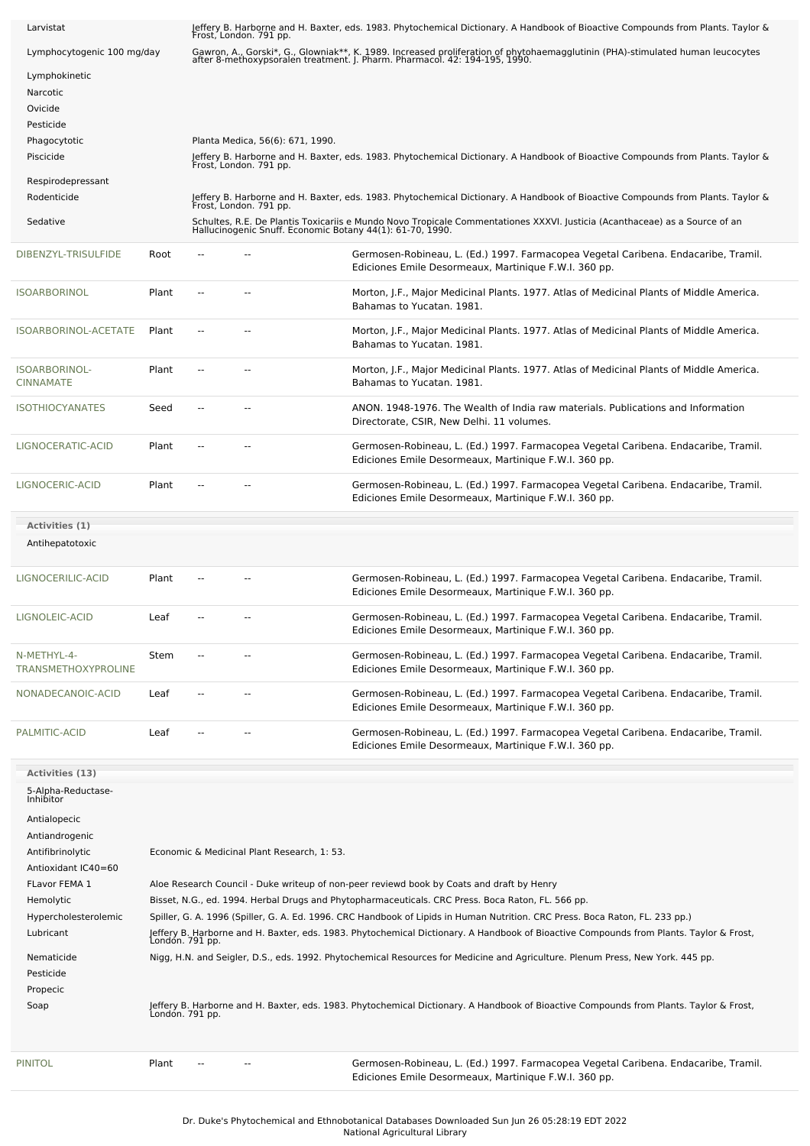| Larvistat                                         |                 |     |                                                            | Jeffery B. Harborne and H. Baxter, eds. 1983. Phytochemical Dictionary. A Handbook of Bioactive Compounds from Plants. Taylor &                                                                              |
|---------------------------------------------------|-----------------|-----|------------------------------------------------------------|--------------------------------------------------------------------------------------------------------------------------------------------------------------------------------------------------------------|
| Lymphocytogenic 100 mg/day                        |                 |     | Frost, London. 791 pp.                                     | Gawron, A., Gorski*, G., Glowniak**, K. 1989. Increased proliferation of phytohaemagglutinin (PHA)-stimulated human leucocytes<br>after 8-methoxypsoralen treatment. J. Pharm. Pharmacol. 42: 194-195, 1990. |
| Lymphokinetic<br>Narcotic<br>Ovicide<br>Pesticide |                 |     |                                                            |                                                                                                                                                                                                              |
| Phagocytotic<br>Piscicide                         |                 |     | Planta Medica, 56(6): 671, 1990.<br>Frost, London. 791 pp. | Jeffery B. Harborne and H. Baxter, eds. 1983. Phytochemical Dictionary. A Handbook of Bioactive Compounds from Plants. Taylor &                                                                              |
| Respirodepressant<br>Rodenticide                  |                 |     |                                                            | Jeffery B. Harborne and H. Baxter, eds. 1983. Phytochemical Dictionary. A Handbook of Bioactive Compounds from Plants. Taylor &                                                                              |
| Sedative                                          |                 |     | Frost, London. 791 pp.                                     | Schultes, R.E. De Plantis Toxicariis e Mundo Novo Tropicale Commentationes XXXVI. Justicia (Acanthaceae) as a Source of an<br>Hallucinogenic Snuff. Economic Botany 44(1): 61-70, 1990.                      |
| DIBENZYL-TRISULFIDE                               | Root            |     |                                                            | Germosen-Robineau, L. (Ed.) 1997. Farmacopea Vegetal Caribena. Endacaribe, Tramil.<br>Ediciones Emile Desormeaux, Martinique F.W.I. 360 pp.                                                                  |
| <b>ISOARBORINOL</b>                               | Plant           |     |                                                            | Morton, J.F., Major Medicinal Plants. 1977. Atlas of Medicinal Plants of Middle America.<br>Bahamas to Yucatan. 1981.                                                                                        |
| ISOARBORINOL-ACETATE                              | Plant           |     |                                                            | Morton, J.F., Major Medicinal Plants. 1977. Atlas of Medicinal Plants of Middle America.<br>Bahamas to Yucatan. 1981.                                                                                        |
| ISOARBORINOL-<br><b>CINNAMATE</b>                 | Plant           | $-$ |                                                            | Morton, J.F., Major Medicinal Plants. 1977. Atlas of Medicinal Plants of Middle America.<br>Bahamas to Yucatan. 1981.                                                                                        |
| <b>ISOTHIOCYANATES</b>                            | Seed            |     |                                                            | ANON. 1948-1976. The Wealth of India raw materials. Publications and Information<br>Directorate, CSIR, New Delhi. 11 volumes.                                                                                |
| LIGNOCERATIC-ACID                                 | Plant           |     |                                                            | Germosen-Robineau, L. (Ed.) 1997. Farmacopea Vegetal Caribena. Endacaribe, Tramil.<br>Ediciones Emile Desormeaux, Martinique F.W.I. 360 pp.                                                                  |
| LIGNOCERIC-ACID                                   | Plant           |     |                                                            | Germosen-Robineau, L. (Ed.) 1997. Farmacopea Vegetal Caribena. Endacaribe, Tramil.<br>Ediciones Emile Desormeaux, Martinique F.W.I. 360 pp.                                                                  |
| Activities (1)                                    |                 |     |                                                            |                                                                                                                                                                                                              |
| Antihepatotoxic                                   |                 |     |                                                            |                                                                                                                                                                                                              |
| LIGNOCERILIC-ACID                                 | Plant           |     |                                                            | Germosen-Robineau, L. (Ed.) 1997. Farmacopea Vegetal Caribena. Endacaribe, Tramil.<br>Ediciones Emile Desormeaux, Martinique F.W.I. 360 pp.                                                                  |
| LIGNOLEIC-ACID                                    | Leaf            | $-$ |                                                            | Germosen-Robineau, L. (Ed.) 1997. Farmacopea Vegetal Caribena. Endacaribe, Tramil.<br>Ediciones Emile Desormeaux, Martinique F.W.I. 360 pp.                                                                  |
| N-METHYL-4-<br><b>TRANSMETHOXYPROLINE</b>         | Stem            |     |                                                            | Germosen-Robineau, L. (Ed.) 1997. Farmacopea Vegetal Caribena. Endacaribe, Tramil.<br>Ediciones Emile Desormeaux, Martinique F.W.I. 360 pp.                                                                  |
| NONADECANOIC-ACID                                 | Leaf            |     |                                                            | Germosen-Robineau, L. (Ed.) 1997. Farmacopea Vegetal Caribena. Endacaribe, Tramil.<br>Ediciones Emile Desormeaux, Martinique F.W.I. 360 pp.                                                                  |
| PALMITIC-ACID                                     | Leaf            |     |                                                            | Germosen-Robineau, L. (Ed.) 1997. Farmacopea Vegetal Caribena. Endacaribe, Tramil.<br>Ediciones Emile Desormeaux, Martinique F.W.I. 360 pp.                                                                  |
| Activities (13)                                   |                 |     |                                                            |                                                                                                                                                                                                              |
| 5-Alpha-Reductase-<br>Inhibitor                   |                 |     |                                                            |                                                                                                                                                                                                              |
|                                                   |                 |     |                                                            |                                                                                                                                                                                                              |
| Antialopecic<br>Antiandrogenic                    |                 |     |                                                            |                                                                                                                                                                                                              |
| Antifibrinolytic                                  |                 |     | Economic & Medicinal Plant Research, 1: 53.                |                                                                                                                                                                                                              |
| Antioxidant IC40=60                               |                 |     |                                                            |                                                                                                                                                                                                              |
| FLavor FEMA 1                                     |                 |     |                                                            | Aloe Research Council - Duke writeup of non-peer reviewd book by Coats and draft by Henry                                                                                                                    |
| Hemolytic                                         |                 |     |                                                            | Bisset, N.G., ed. 1994. Herbal Drugs and Phytopharmaceuticals. CRC Press. Boca Raton, FL. 566 pp.                                                                                                            |
| Hypercholesterolemic                              |                 |     |                                                            | Spiller, G. A. 1996 (Spiller, G. A. Ed. 1996. CRC Handbook of Lipids in Human Nutrition. CRC Press. Boca Raton, FL. 233 pp.)                                                                                 |
| Lubricant                                         |                 |     |                                                            | Jeffery B. Harborne and H. Baxter, eds. 1983. Phytochemical Dictionary. A Handbook of Bioactive Compounds from Plants. Taylor & Frost,<br>London. 791 pp.                                                    |
| Nematicide                                        |                 |     |                                                            | Nigg, H.N. and Seigler, D.S., eds. 1992. Phytochemical Resources for Medicine and Agriculture. Plenum Press, New York. 445 pp.                                                                               |
| Pesticide                                         |                 |     |                                                            |                                                                                                                                                                                                              |
| Propecic                                          |                 |     |                                                            |                                                                                                                                                                                                              |
| Soap                                              | Londón. 791 pp. |     |                                                            | Jeffery B. Harborne and H. Baxter, eds. 1983. Phytochemical Dictionary. A Handbook of Bioactive Compounds from Plants. Taylor & Frost,                                                                       |
| <b>PINITOL</b>                                    | Plant           |     |                                                            | Germosen-Robineau, L. (Ed.) 1997. Farmacopea Vegetal Caribena. Endacaribe, Tramil.                                                                                                                           |
|                                                   |                 |     |                                                            | Ediciones Emile Desormeaux, Martinique F.W.I. 360 pp.                                                                                                                                                        |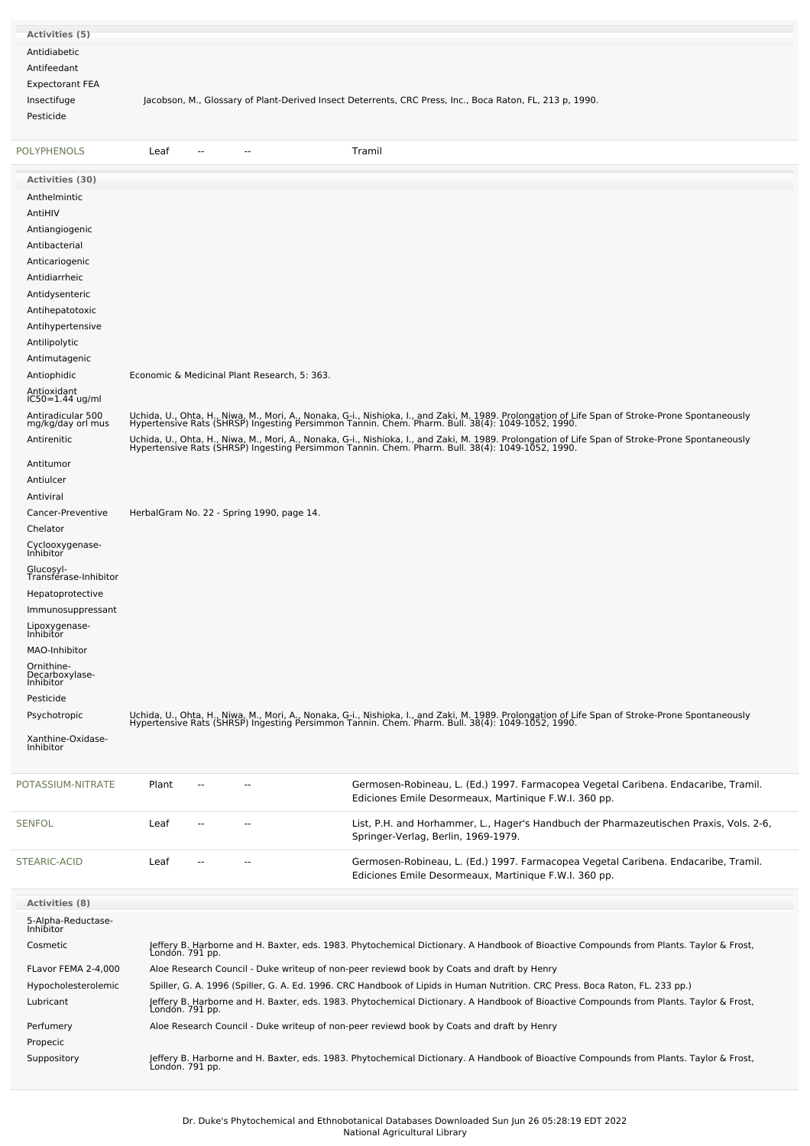| Activities (5)         |                                                                                                          |
|------------------------|----------------------------------------------------------------------------------------------------------|
| Antidiabetic           |                                                                                                          |
| Antifeedant            |                                                                                                          |
| <b>Expectorant FEA</b> |                                                                                                          |
| Insectifuge            | Jacobson, M., Glossary of Plant-Derived Insect Deterrents, CRC Press, Inc., Boca Raton, FL, 213 p, 1990. |
| Pesticide              |                                                                                                          |
| POLYPHENOLS            | Leaf<br>Tramil<br>$\sim$ $\sim$<br>$\overline{\phantom{a}}$                                              |
| Activities (30)        |                                                                                                          |
| Anthelmintic           |                                                                                                          |
| AntiHIV                |                                                                                                          |
| Antiangiogenic         |                                                                                                          |
| Antibacterial          |                                                                                                          |
| Anticariogenic         |                                                                                                          |
| Antidiarrheic          |                                                                                                          |
| Antidysenteric         |                                                                                                          |
| Antihepatotoxic        |                                                                                                          |
| Antihypertensive       |                                                                                                          |
| Antilipolytic          |                                                                                                          |

Uchida, U., Ohta, H., Niwa, M., Mori, A., Nonaka, G-i., Nishioka, I., and Zaki, M. 1989. Prolongation of Life Span of Stroke-Prone Spontaneously<br>Hypertensive Rats (SHRSP) Ingesting Persimmon Tannin. Chem. Pharm. Bull. 38(4

Antirenitic Gamentic U., Ohta, H., Niwa, M., Mori, A., Nonaka, G-i., Nishioka, I., and Zaki, M. 1989. Prolongation of Life Span of Stroke-Prone Spontaneously<br>Hypertensive Rats (SHRSP) Ingesting Persimmon Tannin. Chem. Phar

Antimutagenic

Antioxidant IC50=1.44 ug/ml Antiradicular <sup>500</sup> mg/kg/day orl mus

Antitumor Antiulcer Antiviral

Chelator

Cyclooxygenase-Inhibitor Glucosyl-Transferase-Inhibitor Hepatoprotective Immunosuppressant Lipoxygenase-Inhibitor MAO-Inhibitor

Ornithine-<br>Decarboxylase-<br>Inhibitor

Antiophidic **Economic & Medicinal Plant Research, 5: 363.** 

Cancer-Preventive HerbalGram No. 22 - Spring 1990, page 14.

| Pesticide                       |                                                                                                                                                           |                                                                                                                                                           |  |                                                                                                                                                                                                                                   |  |  |
|---------------------------------|-----------------------------------------------------------------------------------------------------------------------------------------------------------|-----------------------------------------------------------------------------------------------------------------------------------------------------------|--|-----------------------------------------------------------------------------------------------------------------------------------------------------------------------------------------------------------------------------------|--|--|
| Psychotropic                    |                                                                                                                                                           |                                                                                                                                                           |  | Uchida, U., Ohta, H., Niwa, M., Mori, A., Nonaka, G-i., Nishioka, I., and Zaki, M. 1989. Prolongation of Life Span of Stroke-Prone Spontaneously<br>Hypertensive Rats (SHRSP) Ingesting Persimmon Tannin. Chem. Pharm. Bull. 38(4 |  |  |
| Xanthine-Oxidase-<br>Inhibitor  |                                                                                                                                                           |                                                                                                                                                           |  |                                                                                                                                                                                                                                   |  |  |
| POTASSIUM-NITRATE               | Plant                                                                                                                                                     | $\overline{\phantom{a}}$                                                                                                                                  |  | Germosen-Robineau, L. (Ed.) 1997. Farmacopea Vegetal Caribena. Endacaribe, Tramil.<br>Ediciones Emile Desormeaux, Martinique F.W.I. 360 pp.                                                                                       |  |  |
| <b>SENFOL</b>                   | Leaf                                                                                                                                                      |                                                                                                                                                           |  | List, P.H. and Horhammer, L., Hager's Handbuch der Pharmazeutischen Praxis, Vols. 2-6,<br>Springer-Verlag, Berlin, 1969-1979.                                                                                                     |  |  |
| STEARIC-ACID                    | Leaf                                                                                                                                                      | $\qquad \qquad -$                                                                                                                                         |  | Germosen-Robineau, L. (Ed.) 1997. Farmacopea Vegetal Caribena. Endacaribe, Tramil.<br>Ediciones Emile Desormeaux, Martinique F.W.I. 360 pp.                                                                                       |  |  |
| <b>Activities (8)</b>           |                                                                                                                                                           |                                                                                                                                                           |  |                                                                                                                                                                                                                                   |  |  |
| 5-Alpha-Reductase-<br>Inhibitor |                                                                                                                                                           |                                                                                                                                                           |  |                                                                                                                                                                                                                                   |  |  |
| Cosmetic                        | Jeffery B. Harborne and H. Baxter, eds. 1983. Phytochemical Dictionary. A Handbook of Bioactive Compounds from Plants. Taylor & Frost,<br>London. 791 pp. |                                                                                                                                                           |  |                                                                                                                                                                                                                                   |  |  |
| FLavor FEMA 2-4,000             |                                                                                                                                                           | Aloe Research Council - Duke writeup of non-peer reviewd book by Coats and draft by Henry                                                                 |  |                                                                                                                                                                                                                                   |  |  |
| Hypocholesterolemic             |                                                                                                                                                           | Spiller, G. A. 1996 (Spiller, G. A. Ed. 1996. CRC Handbook of Lipids in Human Nutrition. CRC Press. Boca Raton, FL. 233 pp.)                              |  |                                                                                                                                                                                                                                   |  |  |
| Lubricant                       |                                                                                                                                                           | Jeffery B. Harborne and H. Baxter, eds. 1983. Phytochemical Dictionary. A Handbook of Bioactive Compounds from Plants. Taylor & Frost,<br>London. 791 pp. |  |                                                                                                                                                                                                                                   |  |  |
| Perfumery                       |                                                                                                                                                           |                                                                                                                                                           |  | Aloe Research Council - Duke writeup of non-peer reviewd book by Coats and draft by Henry                                                                                                                                         |  |  |
| Propecic                        |                                                                                                                                                           |                                                                                                                                                           |  |                                                                                                                                                                                                                                   |  |  |
| Suppository                     |                                                                                                                                                           | Jeffery B. Harborne and H. Baxter, eds. 1983. Phytochemical Dictionary. A Handbook of Bioactive Compounds from Plants. Taylor & Frost,<br>Londón. 791 pp. |  |                                                                                                                                                                                                                                   |  |  |